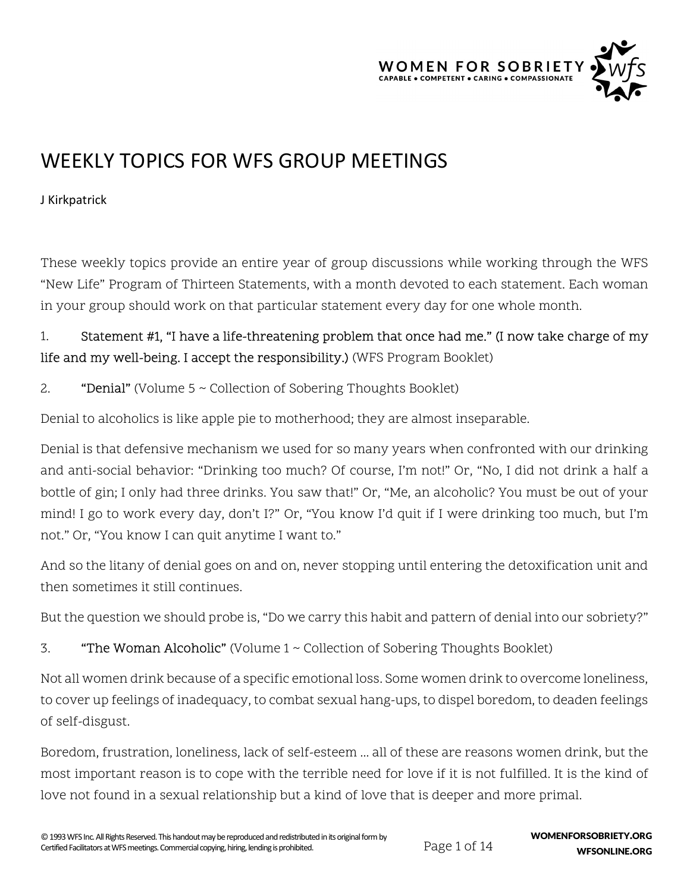

# WEEKLY TOPICS FOR WFS GROUP MEETINGS

J Kirkpatrick

These weekly topics provide an entire year of group discussions while working through the WFS "New Life" Program of Thirteen Statements, with a month devoted to each statement. Each woman in your group should work on that particular statement every day for one whole month.

#### 1. Statement #1, "I have a life-threatening problem that once had me." (I now take charge of my life and my well-being. I accept the responsibility.) (WFS Program Booklet)

#### 2. "Denial" (Volume 5 ~ Collection of Sobering Thoughts Booklet)

Denial to alcoholics is like apple pie to motherhood; they are almost inseparable.

Denial is that defensive mechanism we used for so many years when confronted with our drinking and anti-social behavior: "Drinking too much? Of course, I'm not!" Or, "No, I did not drink a half a bottle of gin; I only had three drinks. You saw that!" Or, "Me, an alcoholic? You must be out of your mind! I go to work every day, don't I?" Or, "You know I'd quit if I were drinking too much, but I'm not." Or, "You know I can quit anytime I want to."

And so the litany of denial goes on and on, never stopping until entering the detoxification unit and then sometimes it still continues.

But the question we should probe is, "Do we carry this habit and pattern of denial into our sobriety?"

3. "The Woman Alcoholic" (Volume 1 ~ Collection of Sobering Thoughts Booklet)

Not all women drink because of a specific emotional loss. Some women drink to overcome loneliness, to cover up feelings of inadequacy, to combat sexual hang-ups, to dispel boredom, to deaden feelings of self-disgust.

Boredom, frustration, loneliness, lack of self-esteem ... all of these are reasons women drink, but the most important reason is to cope with the terrible need for love if it is not fulfilled. It is the kind of love not found in a sexual relationship but a kind of love that is deeper and more primal.

Page 1 of 14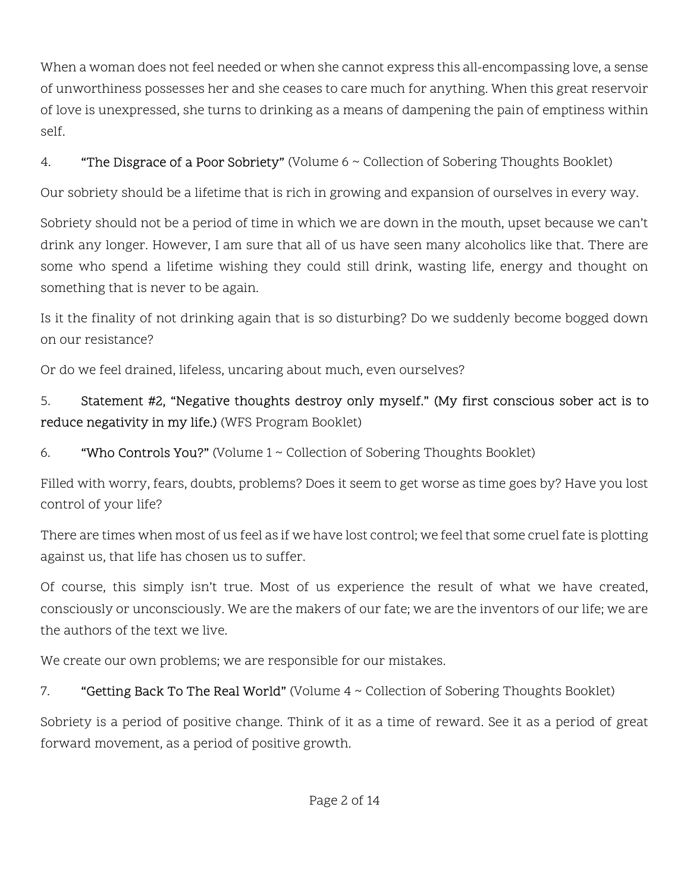When a woman does not feel needed or when she cannot express this all-encompassing love, a sense of unworthiness possesses her and she ceases to care much for anything. When this great reservoir of love is unexpressed, she turns to drinking as a means of dampening the pain of emptiness within self.

### 4. "The Disgrace of a Poor Sobriety" (Volume 6 ~ Collection of Sobering Thoughts Booklet)

Our sobriety should be a lifetime that is rich in growing and expansion of ourselves in every way.

Sobriety should not be a period of time in which we are down in the mouth, upset because we can't drink any longer. However, I am sure that all of us have seen many alcoholics like that. There are some who spend a lifetime wishing they could still drink, wasting life, energy and thought on something that is never to be again.

Is it the finality of not drinking again that is so disturbing? Do we suddenly become bogged down on our resistance?

Or do we feel drained, lifeless, uncaring about much, even ourselves?

# 5. Statement #2, "Negative thoughts destroy only myself." (My first conscious sober act is to reduce negativity in my life.) (WFS Program Booklet)

6. "Who Controls You?" (Volume  $1 \sim$  Collection of Sobering Thoughts Booklet)

Filled with worry, fears, doubts, problems? Does it seem to get worse as time goes by? Have you lost control of your life?

There are times when most of us feel as if we have lost control; we feel that some cruel fate is plotting against us, that life has chosen us to suffer.

Of course, this simply isn't true. Most of us experience the result of what we have created, consciously or unconsciously. We are the makers of our fate; we are the inventors of our life; we are the authors of the text we live.

We create our own problems; we are responsible for our mistakes.

### 7. **"Getting Back To The Real World"** (Volume 4 ~ Collection of Sobering Thoughts Booklet)

Sobriety is a period of positive change. Think of it as a time of reward. See it as a period of great forward movement, as a period of positive growth.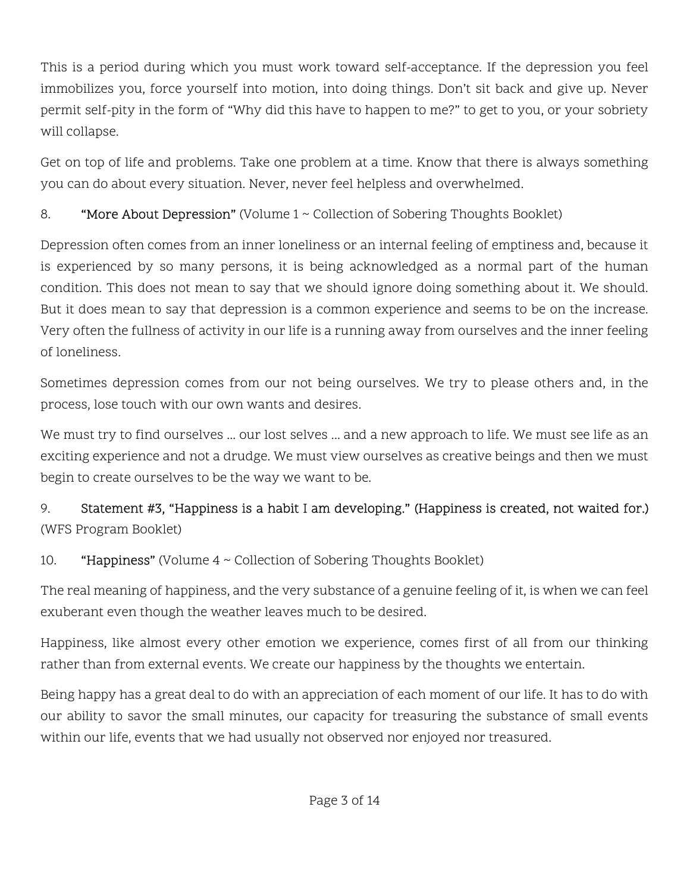This is a period during which you must work toward self-acceptance. If the depression you feel immobilizes you, force yourself into motion, into doing things. Don't sit back and give up. Never permit self-pity in the form of "Why did this have to happen to me?" to get to you, or your sobriety will collapse.

Get on top of life and problems. Take one problem at a time. Know that there is always something you can do about every situation. Never, never feel helpless and overwhelmed.

### 8. "More About Depression" (Volume 1 ~ Collection of Sobering Thoughts Booklet)

Depression often comes from an inner loneliness or an internal feeling of emptiness and, because it is experienced by so many persons, it is being acknowledged as a normal part of the human condition. This does not mean to say that we should ignore doing something about it. We should. But it does mean to say that depression is a common experience and seems to be on the increase. Very often the fullness of activity in our life is a running away from ourselves and the inner feeling of loneliness.

Sometimes depression comes from our not being ourselves. We try to please others and, in the process, lose touch with our own wants and desires.

We must try to find ourselves ... our lost selves ... and a new approach to life. We must see life as an exciting experience and not a drudge. We must view ourselves as creative beings and then we must begin to create ourselves to be the way we want to be.

# 9. Statement #3, "Happiness is a habit I am developing." (Happiness is created, not waited for.) (WFS Program Booklet)

### 10. **"Happiness"** (Volume  $4 \sim$  Collection of Sobering Thoughts Booklet)

The real meaning of happiness, and the very substance of a genuine feeling of it, is when we can feel exuberant even though the weather leaves much to be desired.

Happiness, like almost every other emotion we experience, comes first of all from our thinking rather than from external events. We create our happiness by the thoughts we entertain.

Being happy has a great deal to do with an appreciation of each moment of our life. It has to do with our ability to savor the small minutes, our capacity for treasuring the substance of small events within our life, events that we had usually not observed nor enjoyed nor treasured.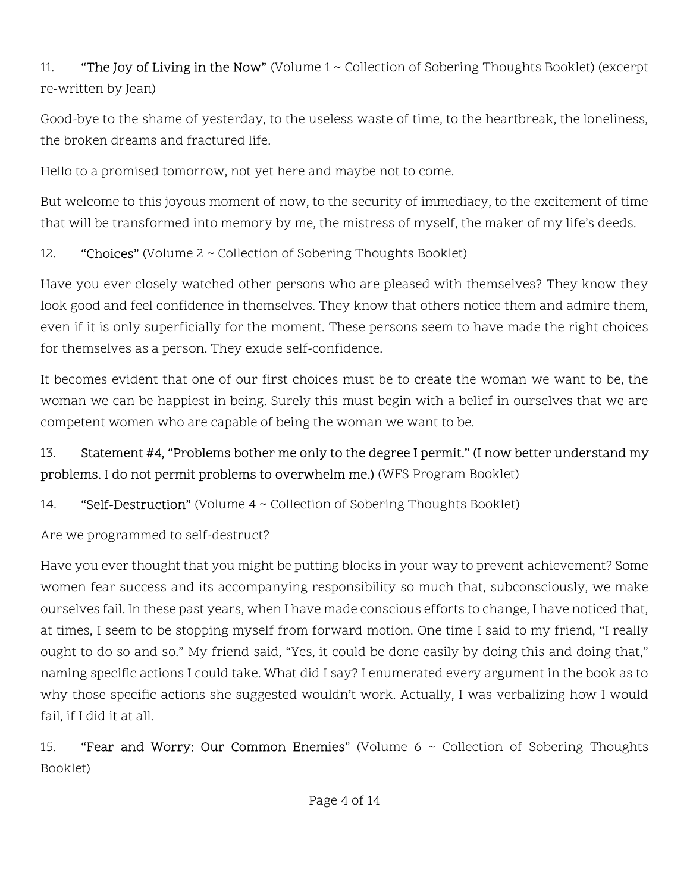11. "The Joy of Living in the Now" (Volume  $1 \sim$  Collection of Sobering Thoughts Booklet) (excerpt re-written by Jean)

Good-bye to the shame of yesterday, to the useless waste of time, to the heartbreak, the loneliness, the broken dreams and fractured life.

Hello to a promised tomorrow, not yet here and maybe not to come.

But welcome to this joyous moment of now, to the security of immediacy, to the excitement of time that will be transformed into memory by me, the mistress of myself, the maker of my life's deeds.

12. "Choices" (Volume 2 ~ Collection of Sobering Thoughts Booklet)

Have you ever closely watched other persons who are pleased with themselves? They know they look good and feel confidence in themselves. They know that others notice them and admire them, even if it is only superficially for the moment. These persons seem to have made the right choices for themselves as a person. They exude self-confidence.

It becomes evident that one of our first choices must be to create the woman we want to be, the woman we can be happiest in being. Surely this must begin with a belief in ourselves that we are competent women who are capable of being the woman we want to be.

# 13. Statement #4, "Problems bother me only to the degree I permit." (I now better understand my problems. I do not permit problems to overwhelm me.) (WFS Program Booklet)

14. "Self-Destruction" (Volume 4 ~ Collection of Sobering Thoughts Booklet)

Are we programmed to self-destruct?

Have you ever thought that you might be putting blocks in your way to prevent achievement? Some women fear success and its accompanying responsibility so much that, subconsciously, we make ourselves fail. In these past years, when I have made conscious efforts to change, I have noticed that, at times, I seem to be stopping myself from forward motion. One time I said to my friend, "I really ought to do so and so." My friend said, "Yes, it could be done easily by doing this and doing that," naming specific actions I could take. What did I say? I enumerated every argument in the book as to why those specific actions she suggested wouldn't work. Actually, I was verbalizing how I would fail, if I did it at all.

15. **"Fear and Worry: Our Common Enemies**" (Volume  $6 \sim$  Collection of Sobering Thoughts Booklet)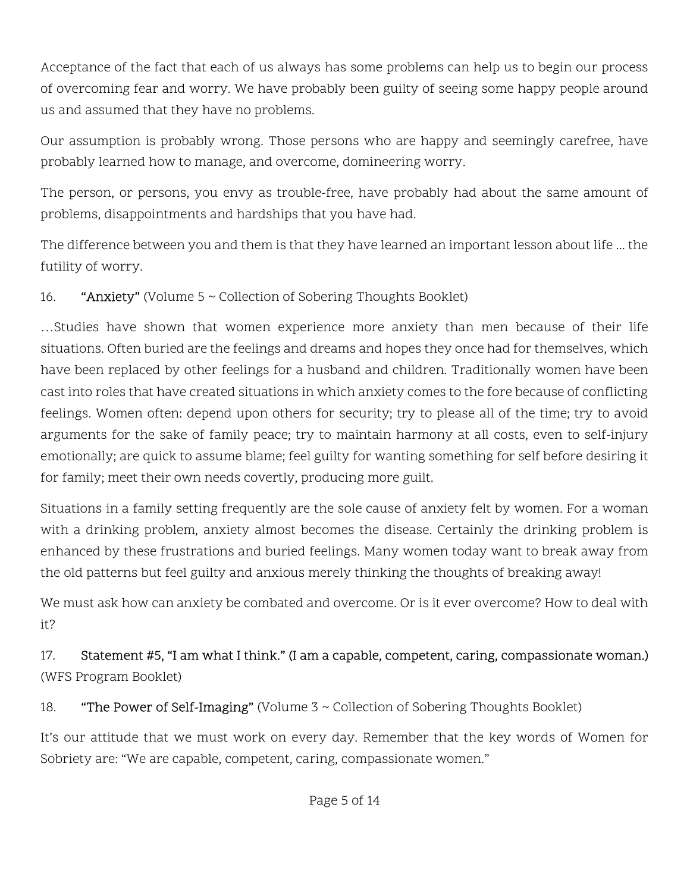Acceptance of the fact that each of us always has some problems can help us to begin our process of overcoming fear and worry. We have probably been guilty of seeing some happy people around us and assumed that they have no problems.

Our assumption is probably wrong. Those persons who are happy and seemingly carefree, have probably learned how to manage, and overcome, domineering worry.

The person, or persons, you envy as trouble-free, have probably had about the same amount of problems, disappointments and hardships that you have had.

The difference between you and them is that they have learned an important lesson about life ... the futility of worry.

#### 16. "Anxiety" (Volume 5 ~ Collection of Sobering Thoughts Booklet)

…Studies have shown that women experience more anxiety than men because of their life situations. Often buried are the feelings and dreams and hopes they once had for themselves, which have been replaced by other feelings for a husband and children. Traditionally women have been cast into roles that have created situations in which anxiety comes to the fore because of conflicting feelings. Women often: depend upon others for security; try to please all of the time; try to avoid arguments for the sake of family peace; try to maintain harmony at all costs, even to self-injury emotionally; are quick to assume blame; feel guilty for wanting something for self before desiring it for family; meet their own needs covertly, producing more guilt.

Situations in a family setting frequently are the sole cause of anxiety felt by women. For a woman with a drinking problem, anxiety almost becomes the disease. Certainly the drinking problem is enhanced by these frustrations and buried feelings. Many women today want to break away from the old patterns but feel guilty and anxious merely thinking the thoughts of breaking away!

We must ask how can anxiety be combated and overcome. Or is it ever overcome? How to deal with it?

17. Statement #5, "I am what I think." (I am a capable, competent, caring, compassionate woman.) (WFS Program Booklet)

18. "The Power of Self-Imaging" (Volume 3 ~ Collection of Sobering Thoughts Booklet)

It's our attitude that we must work on every day. Remember that the key words of Women for Sobriety are: "We are capable, competent, caring, compassionate women."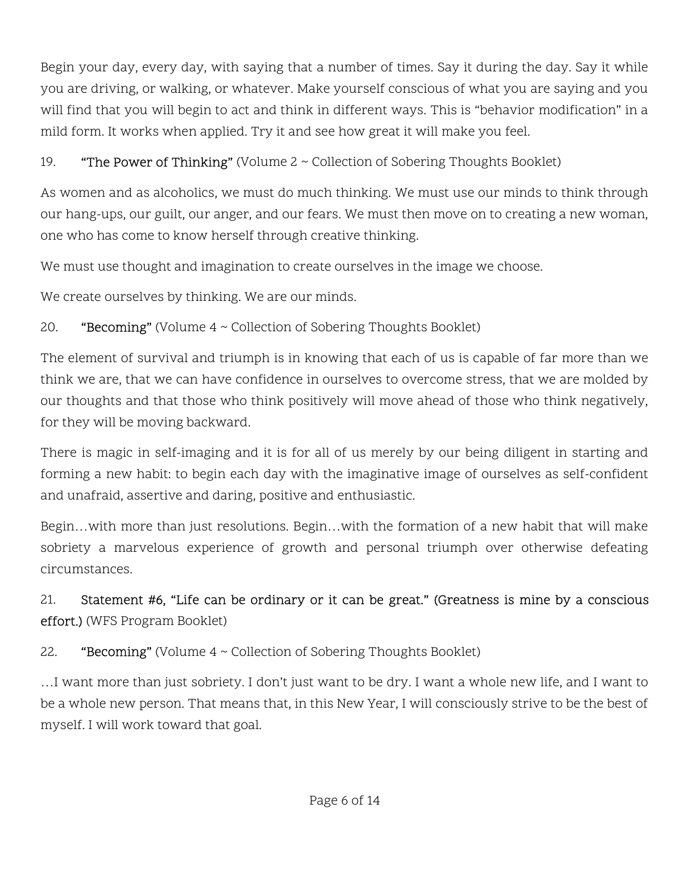Begin your day, every day, with saying that a number of times. Say it during the day. Say it while you are driving, or walking, or whatever. Make yourself conscious of what you are saying and you will find that you will begin to act and think in different ways. This is "behavior modification" in a mild form. It works when applied. Try it and see how great it will make you feel.

### 19. **"The Power of Thinking"** (Volume  $2 \sim$  Collection of Sobering Thoughts Booklet)

As women and as alcoholics, we must do much thinking. We must use our minds to think through our hang-ups, our guilt, our anger, and our fears. We must then move on to creating a new woman, one who has come to know herself through creative thinking.

We must use thought and imagination to create ourselves in the image we choose.

We create ourselves by thinking. We are our minds.

# 20. **"Becoming"** (Volume  $4 \sim$  Collection of Sobering Thoughts Booklet)

The element of survival and triumph is in knowing that each of us is capable of far more than we think we are, that we can have confidence in ourselves to overcome stress, that we are molded by our thoughts and that those who think positively will move ahead of those who think negatively, for they will be moving backward.

There is magic in self-imaging and it is for all of us merely by our being diligent in starting and forming a new habit: to begin each day with the imaginative image of ourselves as self-confident and unafraid, assertive and daring, positive and enthusiastic.

Begin…with more than just resolutions. Begin…with the formation of a new habit that will make sobriety a marvelous experience of growth and personal triumph over otherwise defeating circumstances.

# 21. Statement #6, "Life can be ordinary or it can be great." (Greatness is mine by a conscious effort.) (WFS Program Booklet)

# 22. **"Becoming"** (Volume  $4 \sim$  Collection of Sobering Thoughts Booklet)

…I want more than just sobriety. I don't just want to be dry. I want a whole new life, and I want to be a whole new person. That means that, in this New Year, I will consciously strive to be the best of myself. I will work toward that goal.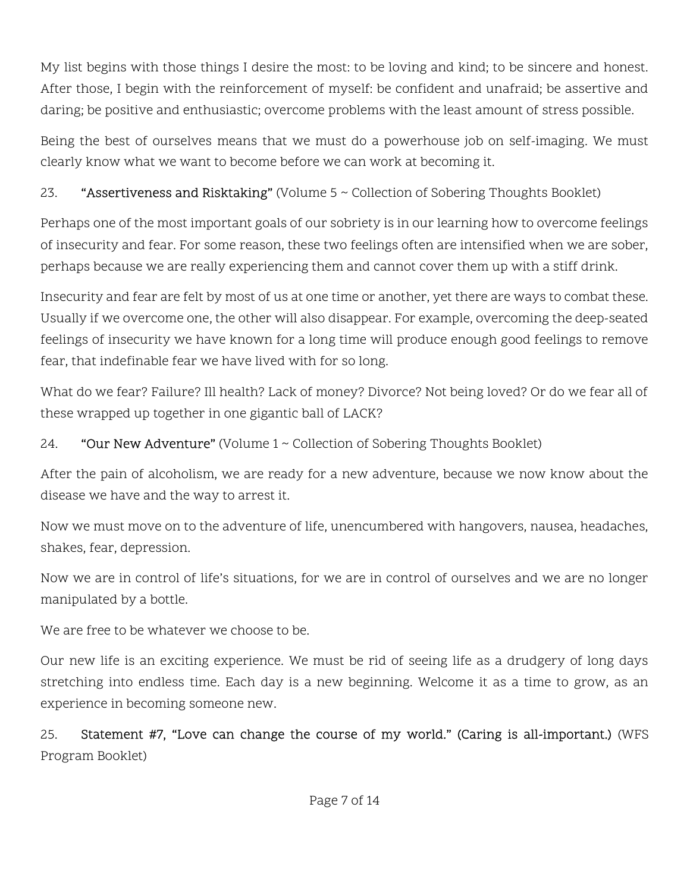My list begins with those things I desire the most: to be loving and kind; to be sincere and honest. After those, I begin with the reinforcement of myself: be confident and unafraid; be assertive and daring; be positive and enthusiastic; overcome problems with the least amount of stress possible.

Being the best of ourselves means that we must do a powerhouse job on self-imaging. We must clearly know what we want to become before we can work at becoming it.

23. **"Assertiveness and Risktaking"** (Volume 5 ~ Collection of Sobering Thoughts Booklet)

Perhaps one of the most important goals of our sobriety is in our learning how to overcome feelings of insecurity and fear. For some reason, these two feelings often are intensified when we are sober, perhaps because we are really experiencing them and cannot cover them up with a stiff drink.

Insecurity and fear are felt by most of us at one time or another, yet there are ways to combat these. Usually if we overcome one, the other will also disappear. For example, overcoming the deep-seated feelings of insecurity we have known for a long time will produce enough good feelings to remove fear, that indefinable fear we have lived with for so long.

What do we fear? Failure? Ill health? Lack of money? Divorce? Not being loved? Or do we fear all of these wrapped up together in one gigantic ball of LACK?

24. "Our New Adventure" (Volume  $1 \sim$  Collection of Sobering Thoughts Booklet)

After the pain of alcoholism, we are ready for a new adventure, because we now know about the disease we have and the way to arrest it.

Now we must move on to the adventure of life, unencumbered with hangovers, nausea, headaches, shakes, fear, depression.

Now we are in control of life's situations, for we are in control of ourselves and we are no longer manipulated by a bottle.

We are free to be whatever we choose to be.

Our new life is an exciting experience. We must be rid of seeing life as a drudgery of long days stretching into endless time. Each day is a new beginning. Welcome it as a time to grow, as an experience in becoming someone new.

25. Statement #7, "Love can change the course of my world." (Caring is all-important.) (WFS Program Booklet)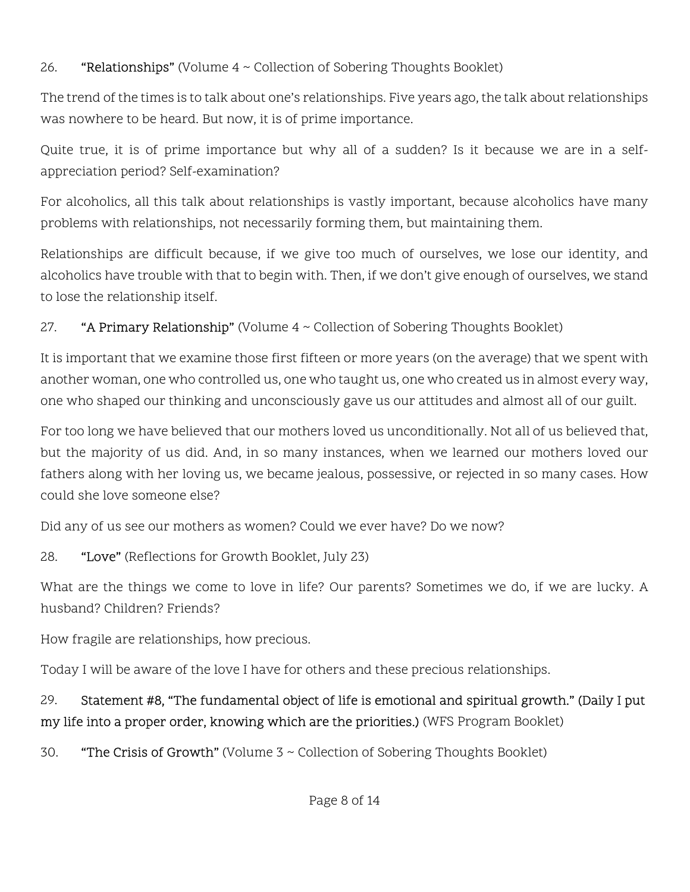#### 26. "Relationships" (Volume 4 ~ Collection of Sobering Thoughts Booklet)

The trend of the times is to talk about one's relationships. Five years ago, the talk about relationships was nowhere to be heard. But now, it is of prime importance.

Quite true, it is of prime importance but why all of a sudden? Is it because we are in a selfappreciation period? Self-examination?

For alcoholics, all this talk about relationships is vastly important, because alcoholics have many problems with relationships, not necessarily forming them, but maintaining them.

Relationships are difficult because, if we give too much of ourselves, we lose our identity, and alcoholics have trouble with that to begin with. Then, if we don't give enough of ourselves, we stand to lose the relationship itself.

#### 27. **"A Primary Relationship"** (Volume  $4 \sim$  Collection of Sobering Thoughts Booklet)

It is important that we examine those first fifteen or more years (on the average) that we spent with another woman, one who controlled us, one who taught us, one who created us in almost every way, one who shaped our thinking and unconsciously gave us our attitudes and almost all of our guilt.

For too long we have believed that our mothers loved us unconditionally. Not all of us believed that, but the majority of us did. And, in so many instances, when we learned our mothers loved our fathers along with her loving us, we became jealous, possessive, or rejected in so many cases. How could she love someone else?

Did any of us see our mothers as women? Could we ever have? Do we now?

28. "Love" (Reflections for Growth Booklet, July 23)

What are the things we come to love in life? Our parents? Sometimes we do, if we are lucky. A husband? Children? Friends?

How fragile are relationships, how precious.

Today I will be aware of the love I have for others and these precious relationships.

# 29. Statement #8, "The fundamental object of life is emotional and spiritual growth." (Daily I put my life into a proper order, knowing which are the priorities.) (WFS Program Booklet)

30. **"The Crisis of Growth"** (Volume  $3 \sim$  Collection of Sobering Thoughts Booklet)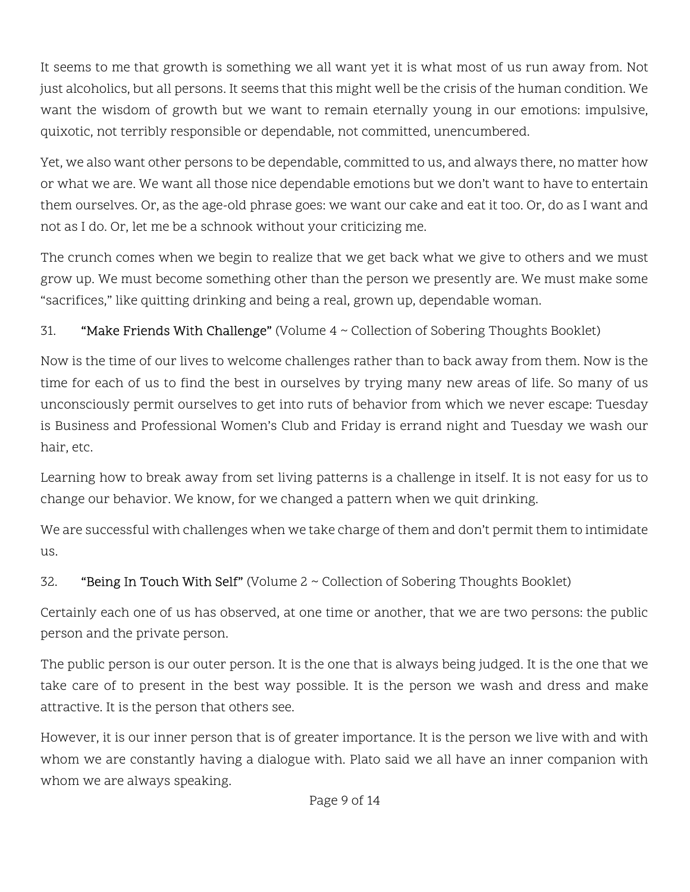It seems to me that growth is something we all want yet it is what most of us run away from. Not just alcoholics, but all persons. It seems that this might well be the crisis of the human condition. We want the wisdom of growth but we want to remain eternally young in our emotions: impulsive, quixotic, not terribly responsible or dependable, not committed, unencumbered.

Yet, we also want other persons to be dependable, committed to us, and always there, no matter how or what we are. We want all those nice dependable emotions but we don't want to have to entertain them ourselves. Or, as the age-old phrase goes: we want our cake and eat it too. Or, do as I want and not as I do. Or, let me be a schnook without your criticizing me.

The crunch comes when we begin to realize that we get back what we give to others and we must grow up. We must become something other than the person we presently are. We must make some "sacrifices," like quitting drinking and being a real, grown up, dependable woman.

#### 31. "Make Friends With Challenge" (Volume 4 ~ Collection of Sobering Thoughts Booklet)

Now is the time of our lives to welcome challenges rather than to back away from them. Now is the time for each of us to find the best in ourselves by trying many new areas of life. So many of us unconsciously permit ourselves to get into ruts of behavior from which we never escape: Tuesday is Business and Professional Women's Club and Friday is errand night and Tuesday we wash our hair, etc.

Learning how to break away from set living patterns is a challenge in itself. It is not easy for us to change our behavior. We know, for we changed a pattern when we quit drinking.

We are successful with challenges when we take charge of them and don't permit them to intimidate us.

#### 32. "Being In Touch With Self" (Volume  $2 \sim$  Collection of Sobering Thoughts Booklet)

Certainly each one of us has observed, at one time or another, that we are two persons: the public person and the private person.

The public person is our outer person. It is the one that is always being judged. It is the one that we take care of to present in the best way possible. It is the person we wash and dress and make attractive. It is the person that others see.

However, it is our inner person that is of greater importance. It is the person we live with and with whom we are constantly having a dialogue with. Plato said we all have an inner companion with whom we are always speaking.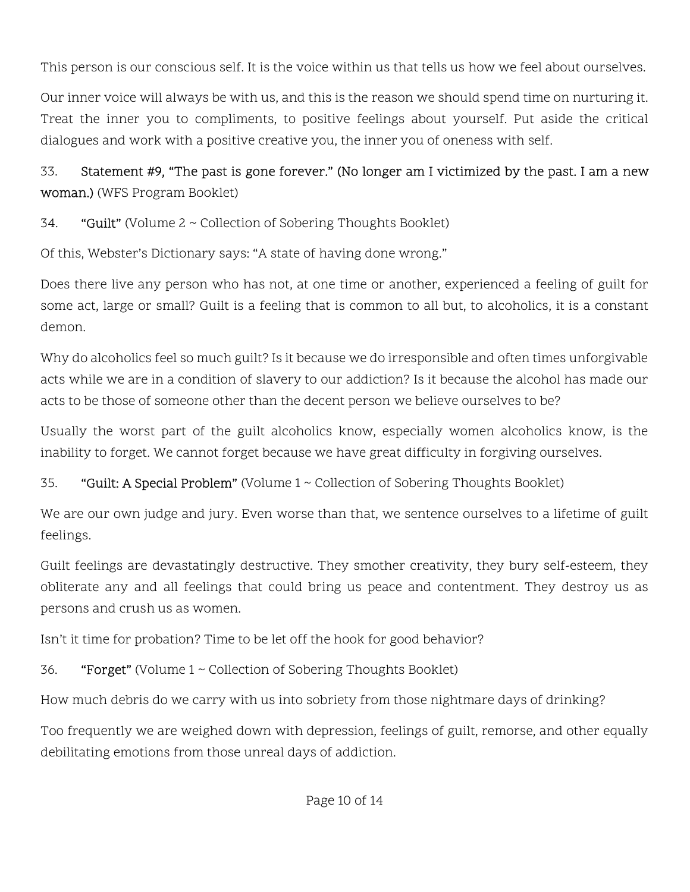This person is our conscious self. It is the voice within us that tells us how we feel about ourselves.

Our inner voice will always be with us, and this is the reason we should spend time on nurturing it. Treat the inner you to compliments, to positive feelings about yourself. Put aside the critical dialogues and work with a positive creative you, the inner you of oneness with self.

33. Statement #9, "The past is gone forever." (No longer am I victimized by the past. I am a new woman.) (WFS Program Booklet)

34. "Guilt" (Volume 2 ~ Collection of Sobering Thoughts Booklet)

Of this, Webster's Dictionary says: "A state of having done wrong."

Does there live any person who has not, at one time or another, experienced a feeling of guilt for some act, large or small? Guilt is a feeling that is common to all but, to alcoholics, it is a constant demon.

Why do alcoholics feel so much guilt? Is it because we do irresponsible and often times unforgivable acts while we are in a condition of slavery to our addiction? Is it because the alcohol has made our acts to be those of someone other than the decent person we believe ourselves to be?

Usually the worst part of the guilt alcoholics know, especially women alcoholics know, is the inability to forget. We cannot forget because we have great difficulty in forgiving ourselves.

35. "Guilt: A Special Problem" (Volume 1 ~ Collection of Sobering Thoughts Booklet)

We are our own judge and jury. Even worse than that, we sentence ourselves to a lifetime of guilt feelings.

Guilt feelings are devastatingly destructive. They smother creativity, they bury self-esteem, they obliterate any and all feelings that could bring us peace and contentment. They destroy us as persons and crush us as women.

Isn't it time for probation? Time to be let off the hook for good behavior?

36. "Forget" (Volume 1 ~ Collection of Sobering Thoughts Booklet)

How much debris do we carry with us into sobriety from those nightmare days of drinking?

Too frequently we are weighed down with depression, feelings of guilt, remorse, and other equally debilitating emotions from those unreal days of addiction.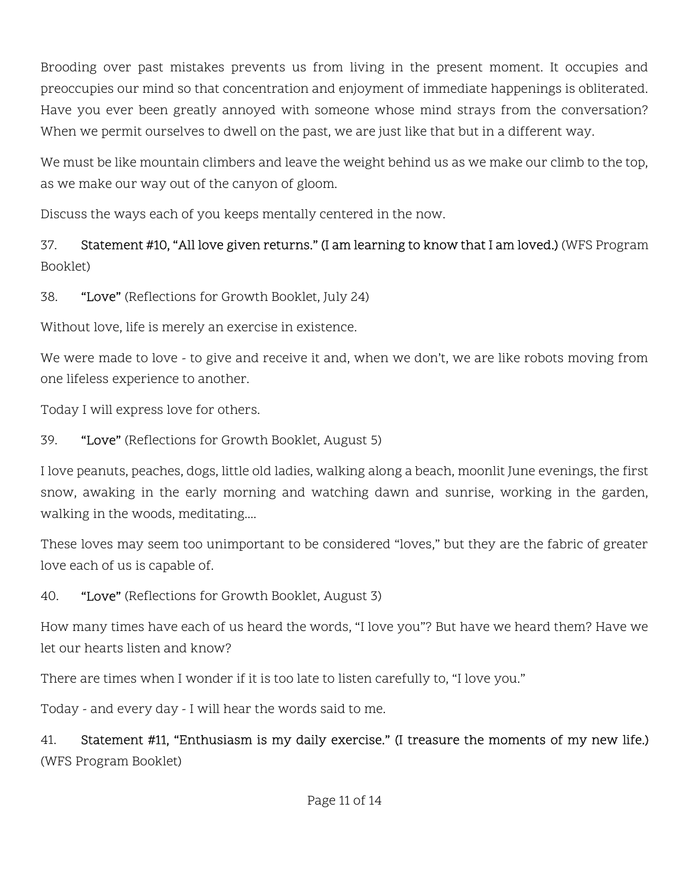Brooding over past mistakes prevents us from living in the present moment. It occupies and preoccupies our mind so that concentration and enjoyment of immediate happenings is obliterated. Have you ever been greatly annoyed with someone whose mind strays from the conversation? When we permit ourselves to dwell on the past, we are just like that but in a different way.

We must be like mountain climbers and leave the weight behind us as we make our climb to the top, as we make our way out of the canyon of gloom.

Discuss the ways each of you keeps mentally centered in the now.

### 37. Statement #10, "All love given returns." (I am learning to know that I am loved.) (WFS Program Booklet)

38. "Love" (Reflections for Growth Booklet, July 24)

Without love, life is merely an exercise in existence.

We were made to love - to give and receive it and, when we don't, we are like robots moving from one lifeless experience to another.

Today I will express love for others.

39. "Love" (Reflections for Growth Booklet, August 5)

I love peanuts, peaches, dogs, little old ladies, walking along a beach, moonlit June evenings, the first snow, awaking in the early morning and watching dawn and sunrise, working in the garden, walking in the woods, meditating....

These loves may seem too unimportant to be considered "loves," but they are the fabric of greater love each of us is capable of.

40. **"Love"** (Reflections for Growth Booklet, August 3)

How many times have each of us heard the words, "I love you"? But have we heard them? Have we let our hearts listen and know?

There are times when I wonder if it is too late to listen carefully to, "I love you."

Today - and every day - I will hear the words said to me.

41. Statement #11, "Enthusiasm is my daily exercise." (I treasure the moments of my new life.) (WFS Program Booklet)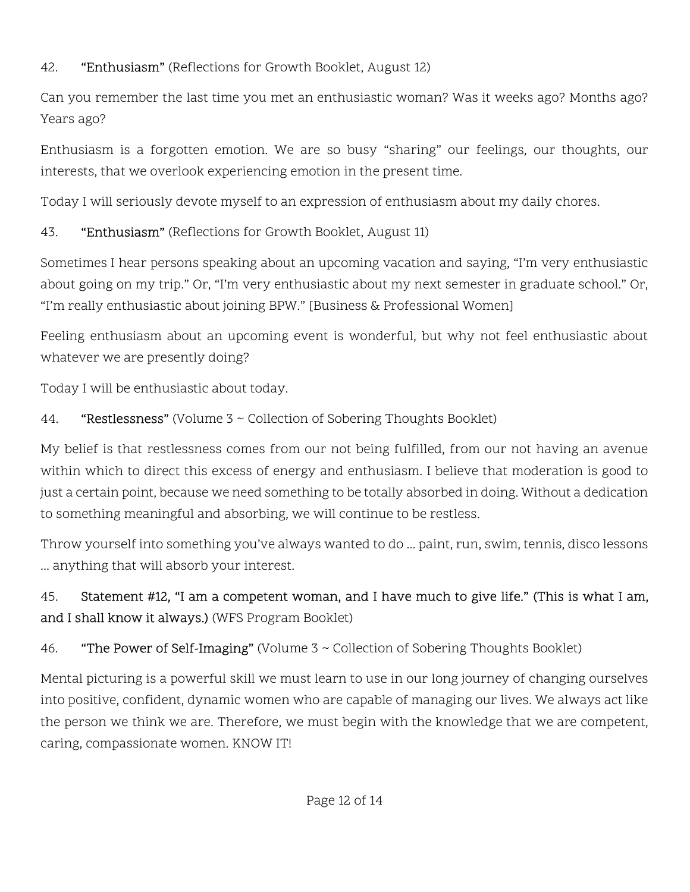#### 42. **"Enthusiasm"** (Reflections for Growth Booklet, August 12)

Can you remember the last time you met an enthusiastic woman? Was it weeks ago? Months ago? Years ago?

Enthusiasm is a forgotten emotion. We are so busy "sharing" our feelings, our thoughts, our interests, that we overlook experiencing emotion in the present time.

Today I will seriously devote myself to an expression of enthusiasm about my daily chores.

### 43. **"Enthusiasm"** (Reflections for Growth Booklet, August 11)

Sometimes I hear persons speaking about an upcoming vacation and saying, "I'm very enthusiastic about going on my trip." Or, "I'm very enthusiastic about my next semester in graduate school." Or, "I'm really enthusiastic about joining BPW." [Business & Professional Women]

Feeling enthusiasm about an upcoming event is wonderful, but why not feel enthusiastic about whatever we are presently doing?

Today I will be enthusiastic about today.

## 44. "Restlessness" (Volume 3 ~ Collection of Sobering Thoughts Booklet)

My belief is that restlessness comes from our not being fulfilled, from our not having an avenue within which to direct this excess of energy and enthusiasm. I believe that moderation is good to just a certain point, because we need something to be totally absorbed in doing. Without a dedication to something meaningful and absorbing, we will continue to be restless.

Throw yourself into something you've always wanted to do ... paint, run, swim, tennis, disco lessons ... anything that will absorb your interest.

# 45. Statement #12, "I am a competent woman, and I have much to give life." (This is what I am, and I shall know it always.) (WFS Program Booklet)

# 46. "The Power of Self-Imaging" (Volume 3 ~ Collection of Sobering Thoughts Booklet)

Mental picturing is a powerful skill we must learn to use in our long journey of changing ourselves into positive, confident, dynamic women who are capable of managing our lives. We always act like the person we think we are. Therefore, we must begin with the knowledge that we are competent, caring, compassionate women. KNOW IT!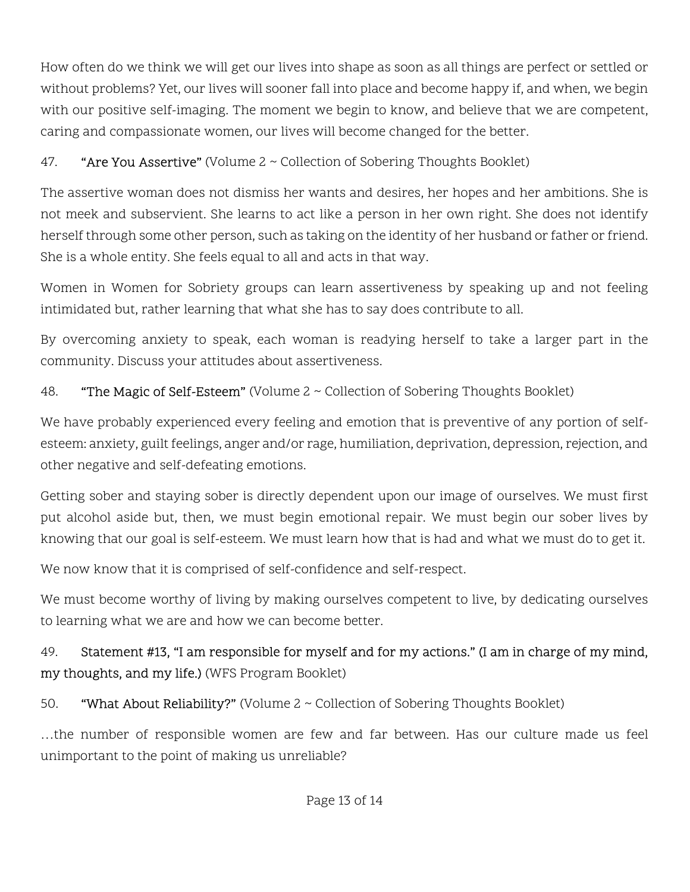How often do we think we will get our lives into shape as soon as all things are perfect or settled or without problems? Yet, our lives will sooner fall into place and become happy if, and when, we begin with our positive self-imaging. The moment we begin to know, and believe that we are competent, caring and compassionate women, our lives will become changed for the better.

#### 47. "Are You Assertive" (Volume  $2 \sim$  Collection of Sobering Thoughts Booklet)

The assertive woman does not dismiss her wants and desires, her hopes and her ambitions. She is not meek and subservient. She learns to act like a person in her own right. She does not identify herself through some other person, such as taking on the identity of her husband or father or friend. She is a whole entity. She feels equal to all and acts in that way.

Women in Women for Sobriety groups can learn assertiveness by speaking up and not feeling intimidated but, rather learning that what she has to say does contribute to all.

By overcoming anxiety to speak, each woman is readying herself to take a larger part in the community. Discuss your attitudes about assertiveness.

#### 48. **"The Magic of Self-Esteem"** (Volume  $2 \sim$  Collection of Sobering Thoughts Booklet)

We have probably experienced every feeling and emotion that is preventive of any portion of selfesteem: anxiety, guilt feelings, anger and/or rage, humiliation, deprivation, depression, rejection, and other negative and self-defeating emotions.

Getting sober and staying sober is directly dependent upon our image of ourselves. We must first put alcohol aside but, then, we must begin emotional repair. We must begin our sober lives by knowing that our goal is self-esteem. We must learn how that is had and what we must do to get it.

We now know that it is comprised of self-confidence and self-respect.

We must become worthy of living by making ourselves competent to live, by dedicating ourselves to learning what we are and how we can become better.

## 49. Statement #13, "I am responsible for myself and for my actions." (I am in charge of my mind, my thoughts, and my life.) (WFS Program Booklet)

50. "What About Reliability?" (Volume 2 ~ Collection of Sobering Thoughts Booklet)

…the number of responsible women are few and far between. Has our culture made us feel unimportant to the point of making us unreliable?